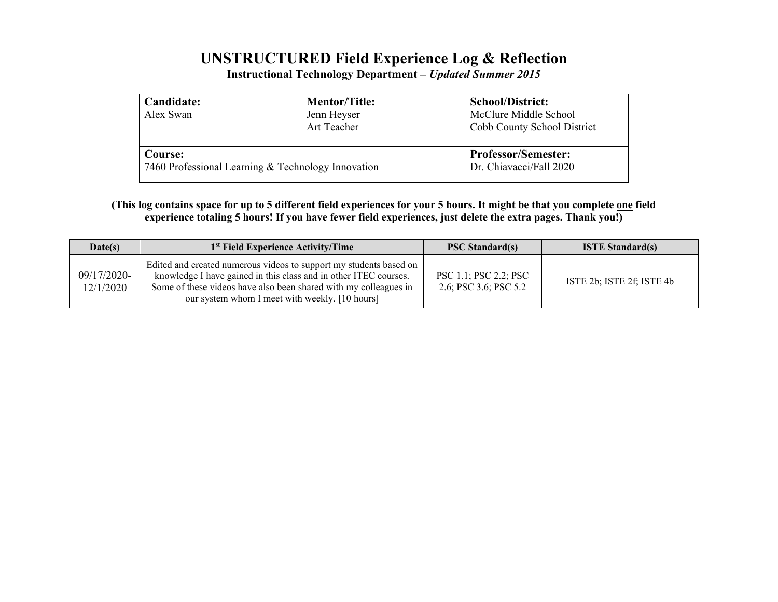# **UNSTRUCTURED Field Experience Log & Reflection**

**Instructional Technology Department –** *Updated Summer 2015*

| Candidate:<br>Alex Swan                            | <b>Mentor/Title:</b><br>Jenn Heyser<br>Art Teacher | <b>School/District:</b><br>McClure Middle School<br>Cobb County School District |  |  |
|----------------------------------------------------|----------------------------------------------------|---------------------------------------------------------------------------------|--|--|
| <b>Course:</b>                                     |                                                    | <b>Professor/Semester:</b>                                                      |  |  |
| 7460 Professional Learning & Technology Innovation |                                                    | Dr. Chiavacci/Fall 2020                                                         |  |  |

**(This log contains space for up to 5 different field experiences for your 5 hours. It might be that you complete one field experience totaling 5 hours! If you have fewer field experiences, just delete the extra pages. Thank you!)**

| Date(s)                  | 1 <sup>st</sup> Field Experience Activity/Time                                                                                                                                                                                                               | <b>PSC Standard(s)</b>                                | <b>ISTE Standard(s)</b>   |
|--------------------------|--------------------------------------------------------------------------------------------------------------------------------------------------------------------------------------------------------------------------------------------------------------|-------------------------------------------------------|---------------------------|
| 09/17/2020-<br>12/1/2020 | Edited and created numerous videos to support my students based on<br>knowledge I have gained in this class and in other ITEC courses.<br>Some of these videos have also been shared with my colleagues in<br>our system whom I meet with weekly. [10 hours] | <b>PSC 1.1; PSC 2.2; PSC</b><br>2.6; PSC 3.6; PSC 5.2 | ISTE 2b; ISTE 2f; ISTE 4b |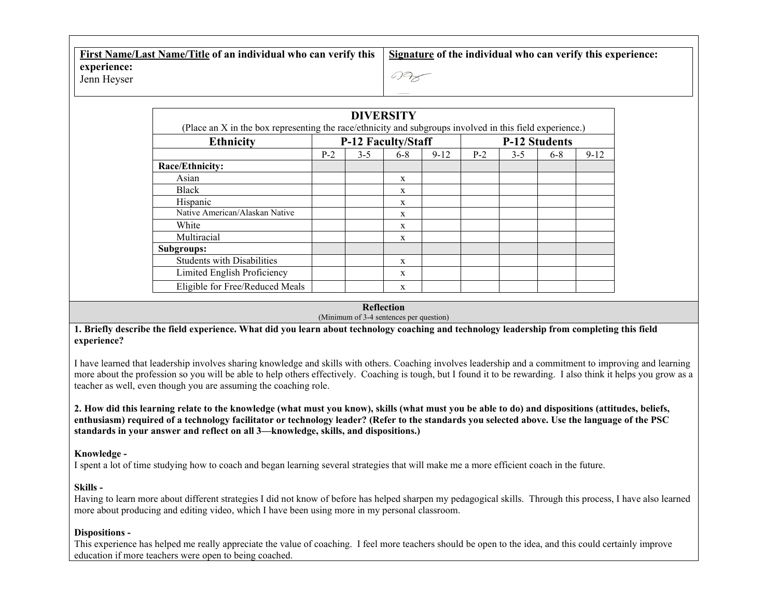| First Name/Last Name/Title of an individual who can verify this   Signature of the individual who can verify this experience: |     |
|-------------------------------------------------------------------------------------------------------------------------------|-----|
| experience:<br>Jenn Heyser                                                                                                    | 097 |

| <b>Ethnicity</b>                  | <b>P-12 Faculty/Staff</b> |         |              | <b>P-12 Students</b> |       |         |       |          |
|-----------------------------------|---------------------------|---------|--------------|----------------------|-------|---------|-------|----------|
|                                   | $P-2$                     | $3 - 5$ | $6-8$        | $9 - 12$             | $P-2$ | $3 - 5$ | $6-8$ | $9 - 12$ |
| Race/Ethnicity:                   |                           |         |              |                      |       |         |       |          |
| Asian                             |                           |         | X            |                      |       |         |       |          |
| Black                             |                           |         | X            |                      |       |         |       |          |
| Hispanic                          |                           |         | X            |                      |       |         |       |          |
| Native American/Alaskan Native    |                           |         | X            |                      |       |         |       |          |
| White                             |                           |         | $\mathbf{x}$ |                      |       |         |       |          |
| Multiracial                       |                           |         | $\mathbf{x}$ |                      |       |         |       |          |
| Subgroups:                        |                           |         |              |                      |       |         |       |          |
| <b>Students with Disabilities</b> |                           |         | $\mathbf{x}$ |                      |       |         |       |          |
| Limited English Proficiency       |                           |         | X            |                      |       |         |       |          |
| Eligible for Free/Reduced Meals   |                           |         | X            |                      |       |         |       |          |

#### **Reflection**

(Minimum of 3-4 sentences per question)

**1. Briefly describe the field experience. What did you learn about technology coaching and technology leadership from completing this field experience?**

I have learned that leadership involves sharing knowledge and skills with others. Coaching involves leadership and a commitment to improving and learning more about the profession so you will be able to help others effectively. Coaching is tough, but I found it to be rewarding. I also think it helps you grow as a teacher as well, even though you are assuming the coaching role.

**2. How did this learning relate to the knowledge (what must you know), skills (what must you be able to do) and dispositions (attitudes, beliefs, enthusiasm) required of a technology facilitator or technology leader? (Refer to the standards you selected above. Use the language of the PSC standards in your answer and reflect on all 3—knowledge, skills, and dispositions.)**

### **Knowledge -**

I spent a lot of time studying how to coach and began learning several strategies that will make me a more efficient coach in the future.

## **Skills -**

Having to learn more about different strategies I did not know of before has helped sharpen my pedagogical skills. Through this process, I have also learned more about producing and editing video, which I have been using more in my personal classroom.

## **Dispositions -**

This experience has helped me really appreciate the value of coaching. I feel more teachers should be open to the idea, and this could certainly improve education if more teachers were open to being coached.